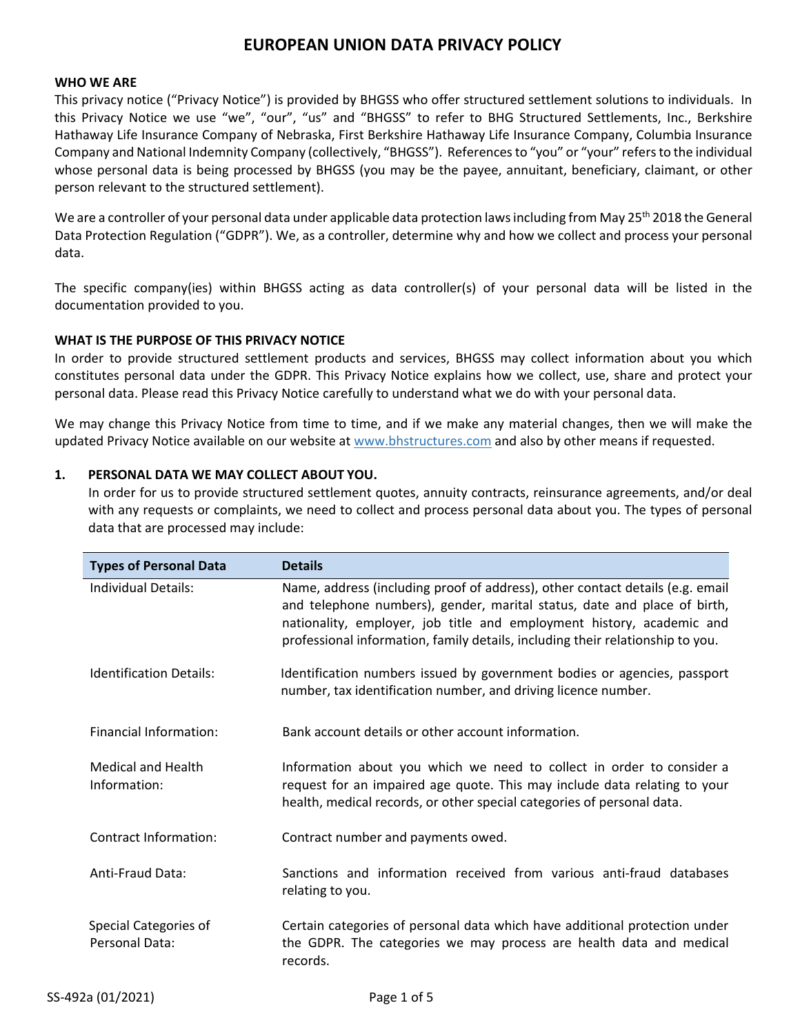#### **WHO WE ARE**

This privacy notice ("Privacy Notice") is provided by BHGSS who offer structured settlement solutions to individuals. In this Privacy Notice we use "we", "our", "us" and "BHGSS" to refer to BHG Structured Settlements, Inc., Berkshire Hathaway Life Insurance Company of Nebraska, First Berkshire Hathaway Life Insurance Company, Columbia Insurance Company and National Indemnity Company (collectively, "BHGSS"). References to "you" or "your" refers to the individual whose personal data is being processed by BHGSS (you may be the payee, annuitant, beneficiary, claimant, or other person relevant to the structured settlement).

We are a controller of your personal data under applicable data protection laws including from May 25<sup>th</sup> 2018 the General Data Protection Regulation ("GDPR"). We, as a controller, determine why and how we collect and process your personal data.

The specific company(ies) within BHGSS acting as data controller(s) of your personal data will be listed in the documentation provided to you.

## **WHAT IS THE PURPOSE OF THIS PRIVACY NOTICE**

In order to provide structured settlement products and services, BHGSS may collect information about you which constitutes personal data under the GDPR. This Privacy Notice explains how we collect, use, share and protect your personal data. Please read this Privacy Notice carefully to understand what we do with your personal data.

We may change this Privacy Notice from time to time, and if we make any material changes, then we will make the updated Privacy Notice available on our website at www.bhstructures.com and also by other means if requested.

## **1. PERSONAL DATA WE MAY COLLECT ABOUT YOU.**

In order for us to provide structured settlement quotes, annuity contracts, reinsurance agreements, and/or deal with any requests or complaints, we need to collect and process personal data about you. The types of personal data that are processed may include:

| <b>Types of Personal Data</b>             | <b>Details</b>                                                                                                                                                                                                                                                                                                       |  |
|-------------------------------------------|----------------------------------------------------------------------------------------------------------------------------------------------------------------------------------------------------------------------------------------------------------------------------------------------------------------------|--|
| Individual Details:                       | Name, address (including proof of address), other contact details (e.g. email<br>and telephone numbers), gender, marital status, date and place of birth,<br>nationality, employer, job title and employment history, academic and<br>professional information, family details, including their relationship to you. |  |
| <b>Identification Details:</b>            | Identification numbers issued by government bodies or agencies, passport<br>number, tax identification number, and driving licence number.                                                                                                                                                                           |  |
| Financial Information:                    | Bank account details or other account information.                                                                                                                                                                                                                                                                   |  |
| <b>Medical and Health</b><br>Information: | Information about you which we need to collect in order to consider a<br>request for an impaired age quote. This may include data relating to your<br>health, medical records, or other special categories of personal data.                                                                                         |  |
| Contract Information:                     | Contract number and payments owed.                                                                                                                                                                                                                                                                                   |  |
| Anti-Fraud Data:                          | Sanctions and information received from various anti-fraud databases<br>relating to you.                                                                                                                                                                                                                             |  |
| Special Categories of<br>Personal Data:   | Certain categories of personal data which have additional protection under<br>the GDPR. The categories we may process are health data and medical<br>records.                                                                                                                                                        |  |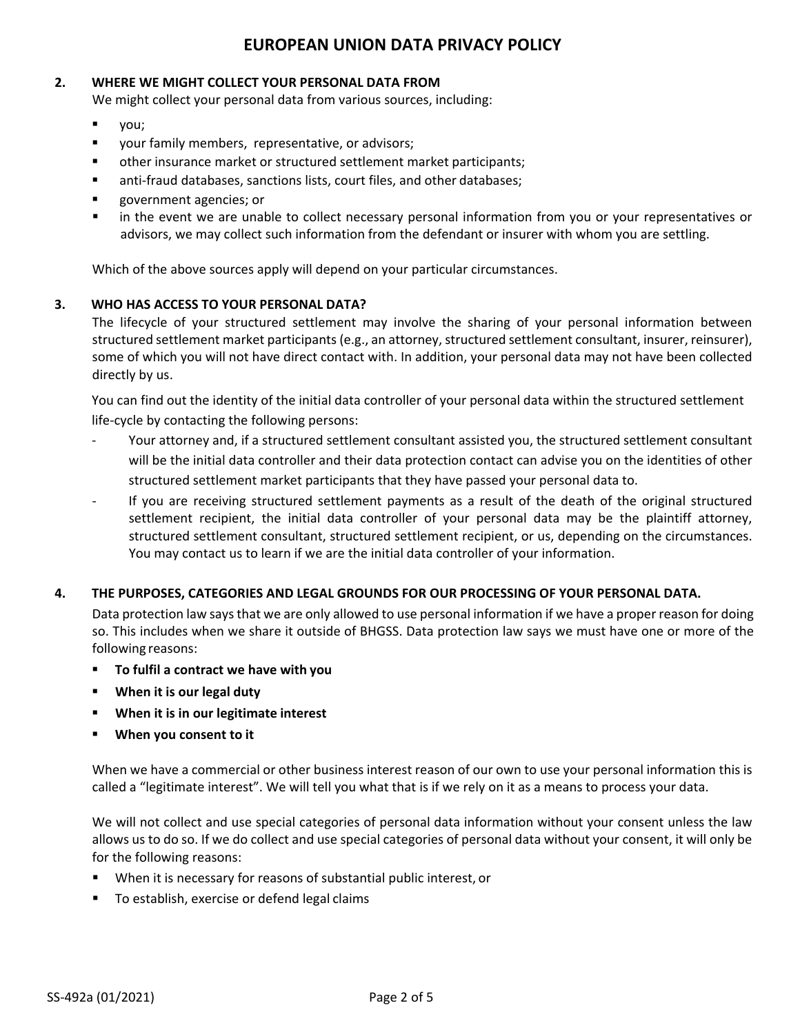## **2. WHERE WE MIGHT COLLECT YOUR PERSONAL DATA FROM**

We might collect your personal data from various sources, including:

- you;
- your family members, representative, or advisors;
- other insurance market or structured settlement market participants;
- anti-fraud databases, sanctions lists, court files, and other databases;
- government agencies; or
- in the event we are unable to collect necessary personal information from you or your representatives or advisors, we may collect such information from the defendant or insurer with whom you are settling.

Which of the above sources apply will depend on your particular circumstances.

## **3. WHO HAS ACCESS TO YOUR PERSONAL DATA?**

The lifecycle of your structured settlement may involve the sharing of your personal information between structured settlement market participants (e.g., an attorney, structured settlement consultant, insurer, reinsurer), some of which you will not have direct contact with. In addition, your personal data may not have been collected directly by us.

You can find out the identity of the initial data controller of your personal data within the structured settlement life-cycle by contacting the following persons:

- Your attorney and, if a structured settlement consultant assisted you, the structured settlement consultant will be the initial data controller and their data protection contact can advise you on the identities of other structured settlement market participants that they have passed your personal data to.
- If you are receiving structured settlement payments as a result of the death of the original structured settlement recipient, the initial data controller of your personal data may be the plaintiff attorney, structured settlement consultant, structured settlement recipient, or us, depending on the circumstances. You may contact us to learn if we are the initial data controller of your information.

## **4. THE PURPOSES, CATEGORIES AND LEGAL GROUNDS FOR OUR PROCESSING OF YOUR PERSONAL DATA.**

Data protection law says that we are only allowed to use personal information if we have a proper reason for doing so. This includes when we share it outside of BHGSS. Data protection law says we must have one or more of the following reasons:

- **To fulfil a contract we have with you**
- **When it is our legal duty**
- **When it is in our legitimate interest**
- **When you consent to it**

When we have a commercial or other business interest reason of our own to use your personal information this is called a "legitimate interest". We will tell you what that is if we rely on it as a means to process your data.

We will not collect and use special categories of personal data information without your consent unless the law allows us to do so. If we do collect and use special categories of personal data without your consent, it will only be for the following reasons:

- When it is necessary for reasons of substantial public interest, or
- To establish, exercise or defend legal claims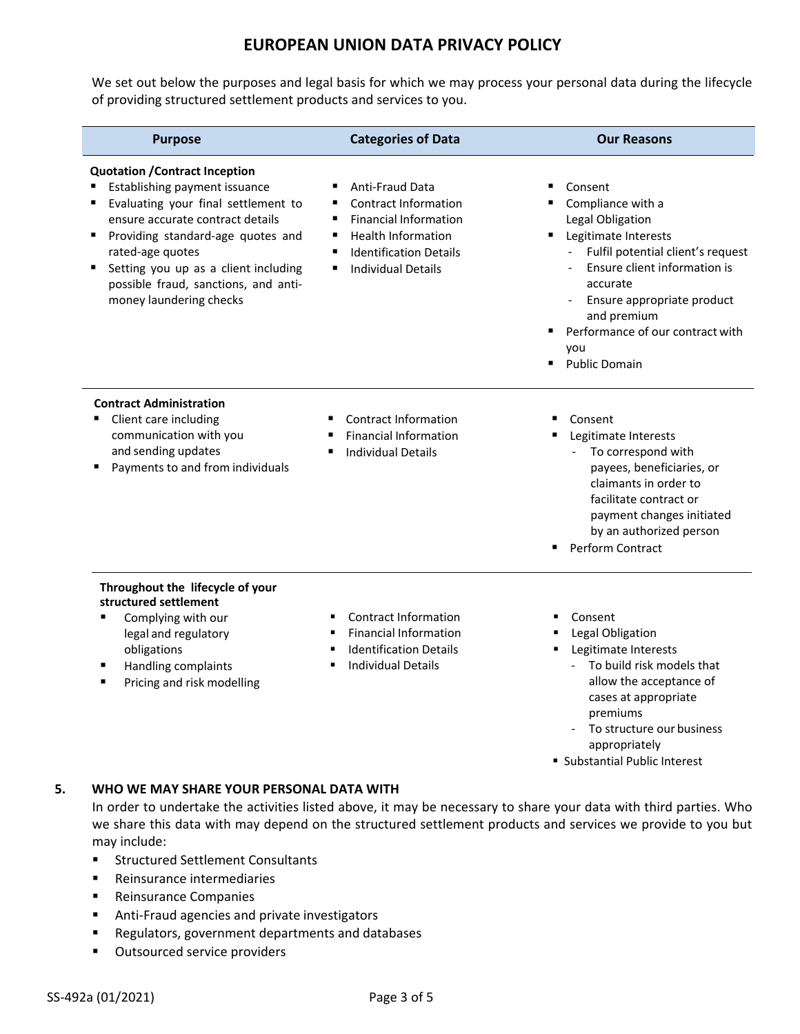We set out below the purposes and legal basis for which we may process your personal data during the lifecycle of providing structured settlement products and services to you.

| <b>Purpose</b>                                                                                                                                                                                                                                                                                                        | <b>Categories of Data</b>                                                                                                                                                                            | <b>Our Reasons</b>                                                                                                                                                                                                                                                        |
|-----------------------------------------------------------------------------------------------------------------------------------------------------------------------------------------------------------------------------------------------------------------------------------------------------------------------|------------------------------------------------------------------------------------------------------------------------------------------------------------------------------------------------------|---------------------------------------------------------------------------------------------------------------------------------------------------------------------------------------------------------------------------------------------------------------------------|
| <b>Quotation / Contract Inception</b><br>Establishing payment issuance<br>Evaluating your final settlement to<br>ensure accurate contract details<br>Providing standard-age quotes and<br>rated-age quotes<br>Setting you up as a client including<br>possible fraud, sanctions, and anti-<br>money laundering checks | <b>Anti-Fraud Data</b><br><b>Contract Information</b><br><b>Financial Information</b><br>٠<br><b>Health Information</b><br>٠<br><b>Identification Details</b><br>٠<br><b>Individual Details</b><br>٠ | Consent<br>Compliance with a<br>Legal Obligation<br>Legitimate Interests<br>Fulfil potential client's request<br>Ensure client information is<br>accurate<br>Ensure appropriate product<br>and premium<br>Performance of our contract with<br>you<br><b>Public Domain</b> |
| <b>Contract Administration</b><br>Client care including<br>communication with you<br>and sending updates<br>Payments to and from individuals                                                                                                                                                                          | Contract Information<br><b>Financial Information</b><br><b>Individual Details</b>                                                                                                                    | Consent<br>Legitimate Interests<br>To correspond with<br>payees, beneficiaries, or<br>claimants in order to<br>facilitate contract or<br>payment changes initiated<br>by an authorized person<br>Perform Contract                                                         |
| Throughout the lifecycle of your<br>structured settlement<br>Complying with our<br>legal and regulatory<br>obligations<br>Handling complaints<br>Pricing and risk modelling                                                                                                                                           | <b>Contract Information</b><br><b>Financial Information</b><br><b>Identification Details</b><br><b>Individual Details</b>                                                                            | Consent<br>Legal Obligation<br>п<br>Legitimate Interests<br>٠<br>To build risk models that<br>allow the acceptance of<br>cases at appropriate<br>premiums                                                                                                                 |

- To structure our business appropriately

Substantial Public Interest

## **5. WHO WE MAY SHARE YOUR PERSONAL DATA WITH**

In order to undertake the activities listed above, it may be necessary to share your data with third parties. Who we share this data with may depend on the structured settlement products and services we provide to you but may include:

- **EXECUTED Structured Settlement Consultants**
- Reinsurance intermediaries
- **Reinsurance Companies**
- **Anti-Fraud agencies and private investigators**
- **Regulators, government departments and databases**
- **•** Outsourced service providers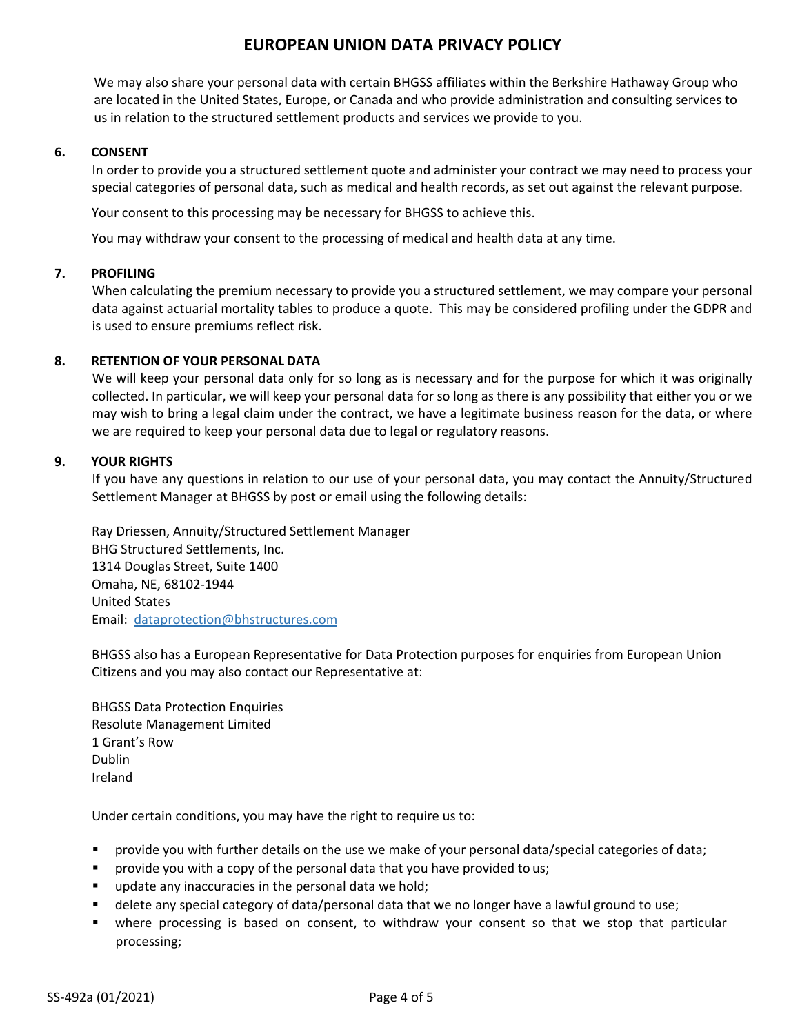We may also share your personal data with certain BHGSS affiliates within the Berkshire Hathaway Group who are located in the United States, Europe, or Canada and who provide administration and consulting services to us in relation to the structured settlement products and services we provide to you.

### **6. CONSENT**

In order to provide you a structured settlement quote and administer your contract we may need to process your special categories of personal data, such as medical and health records, as set out against the relevant purpose.

Your consent to this processing may be necessary for BHGSS to achieve this.

You may withdraw your consent to the processing of medical and health data at any time.

### **7. PROFILING**

When calculating the premium necessary to provide you a structured settlement, we may compare your personal data against actuarial mortality tables to produce a quote. This may be considered profiling under the GDPR and is used to ensure premiums reflect risk.

### **8. RETENTION OF YOUR PERSONAL DATA**

We will keep your personal data only for so long as is necessary and for the purpose for which it was originally collected. In particular, we will keep your personal data for so long as there is any possibility that either you or we may wish to bring a legal claim under the contract, we have a legitimate business reason for the data, or where we are required to keep your personal data due to legal or regulatory reasons.

### **9. YOUR RIGHTS**

If you have any questions in relation to our use of your personal data, you may contact the Annuity/Structured Settlement Manager at BHGSS by post or email using the following details:

Ray Driessen, Annuity/Structured Settlement Manager BHG Structured Settlements, Inc. 1314 Douglas Street, Suite 1400 Omaha, NE, 68102-1944 United States Email: dataprotection@bhstructures.com

BHGSS also has a European Representative for Data Protection purposes for enquiries from European Union Citizens and you may also contact our Representative at:

BHGSS Data Protection Enquiries Resolute Management Limited 1 Grant's Row Dublin Ireland

Under certain conditions, you may have the right to require us to:

- provide you with further details on the use we make of your personal data/special categories of data;
- provide you with a copy of the personal data that you have provided to us;
- **update any inaccuracies in the personal data we hold;**
- delete any special category of data/personal data that we no longer have a lawful ground to use;
- where processing is based on consent, to withdraw your consent so that we stop that particular processing;